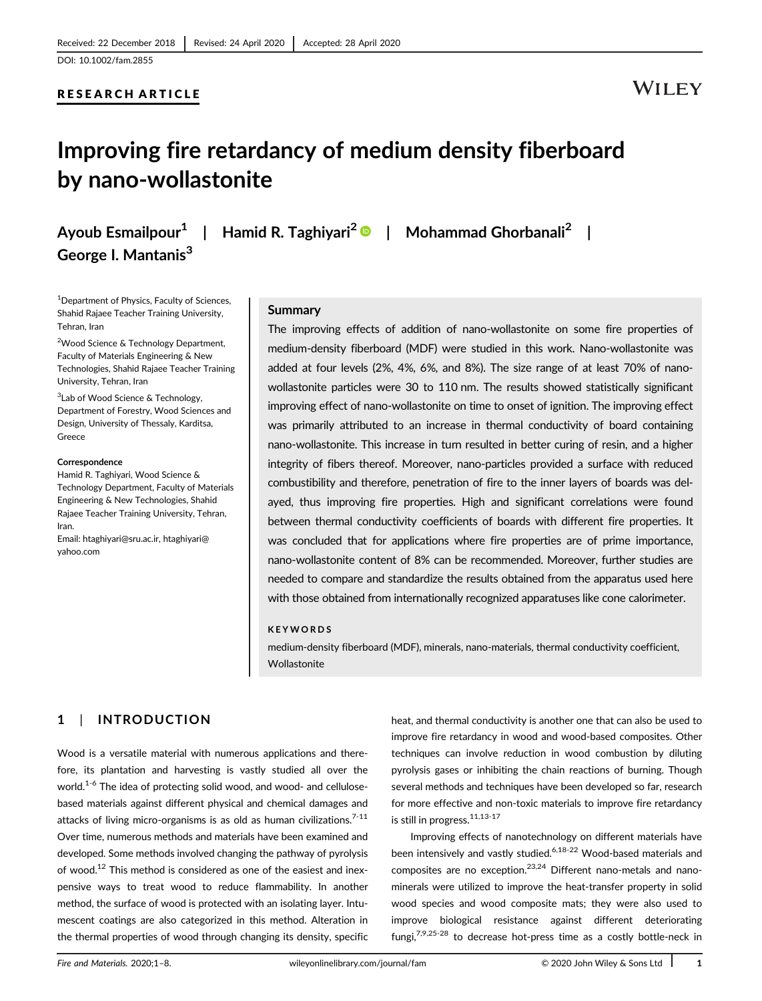### RESEARCH ARTICLE

# **WILEY**

# Improving fire retardancy of medium density fiberboard by nano-wollastonite

George I. Mantanis<sup>3</sup>

Ayoub Esmailpour<sup>1</sup> | Hamid R. Taghiyari<sup>2</sup> | Mohammad Ghorbanali<sup>2</sup> |

<sup>1</sup> Department of Physics, Faculty of Sciences, Shahid Rajaee Teacher Training University, Tehran, Iran

<sup>2</sup>Wood Science & Technology Department, Faculty of Materials Engineering & New Technologies, Shahid Rajaee Teacher Training University, Tehran, Iran

<sup>3</sup>Lab of Wood Science & Technology, Department of Forestry, Wood Sciences and Design, University of Thessaly, Karditsa, Greece

#### **Correspondence**

Hamid R. Taghiyari, Wood Science & Technology Department, Faculty of Materials Engineering & New Technologies, Shahid Rajaee Teacher Training University, Tehran, Iran.

Email: [htaghiyari@sru.ac.ir](mailto:htaghiyari@sru.ac.ir), [htaghiyari@](mailto:htaghiyari@yahoo.com) [yahoo.com](mailto:htaghiyari@yahoo.com)

#### Summary

The improving effects of addition of nano-wollastonite on some fire properties of medium-density fiberboard (MDF) were studied in this work. Nano-wollastonite was added at four levels (2%, 4%, 6%, and 8%). The size range of at least 70% of nanowollastonite particles were 30 to 110 nm. The results showed statistically significant improving effect of nano-wollastonite on time to onset of ignition. The improving effect was primarily attributed to an increase in thermal conductivity of board containing nano-wollastonite. This increase in turn resulted in better curing of resin, and a higher integrity of fibers thereof. Moreover, nano-particles provided a surface with reduced combustibility and therefore, penetration of fire to the inner layers of boards was delayed, thus improving fire properties. High and significant correlations were found between thermal conductivity coefficients of boards with different fire properties. It was concluded that for applications where fire properties are of prime importance, nano-wollastonite content of 8% can be recommended. Moreover, further studies are needed to compare and standardize the results obtained from the apparatus used here with those obtained from internationally recognized apparatuses like cone calorimeter.

#### KEYWORDS

medium-density fiberboard (MDF), minerals, nano-materials, thermal conductivity coefficient, Wollastonite

# 1 | INTRODUCTION

Wood is a versatile material with numerous applications and therefore, its plantation and harvesting is vastly studied all over the world.<sup>1-6</sup> The idea of protecting solid wood, and wood- and cellulosebased materials against different physical and chemical damages and attacks of living micro-organisms is as old as human civilizations. $7-11$ Over time, numerous methods and materials have been examined and developed. Some methods involved changing the pathway of pyrolysis of wood.<sup>12</sup> This method is considered as one of the easiest and inexpensive ways to treat wood to reduce flammability. In another method, the surface of wood is protected with an isolating layer. Intumescent coatings are also categorized in this method. Alteration in the thermal properties of wood through changing its density, specific

heat, and thermal conductivity is another one that can also be used to improve fire retardancy in wood and wood-based composites. Other techniques can involve reduction in wood combustion by diluting pyrolysis gases or inhibiting the chain reactions of burning. Though several methods and techniques have been developed so far, research for more effective and non-toxic materials to improve fire retardancy is still in progress.<sup>11,13-17</sup>

Improving effects of nanotechnology on different materials have been intensively and vastly studied.<sup>6,18-22</sup> Wood-based materials and composites are no exception.23,24 Different nano-metals and nanominerals were utilized to improve the heat-transfer property in solid wood species and wood composite mats; they were also used to improve biological resistance against different deteriorating fungi, $7,9,25-28$  to decrease hot-press time as a costly bottle-neck in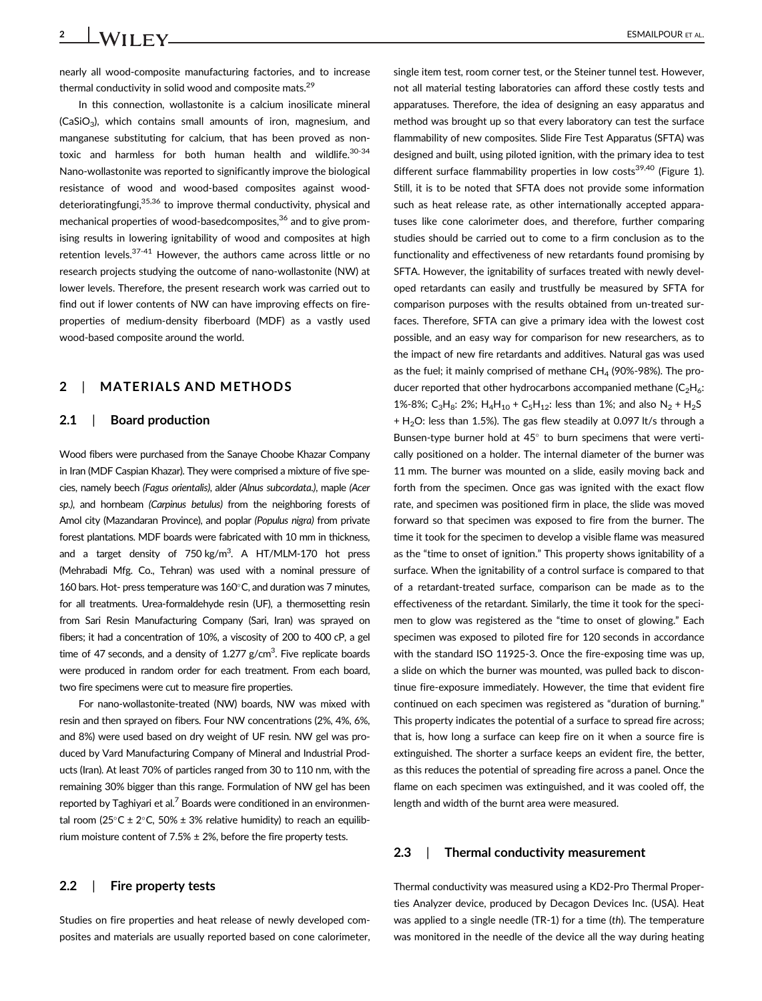nearly all wood-composite manufacturing factories, and to increase thermal conductivity in solid wood and composite mats.<sup>29</sup>

In this connection, wollastonite is a calcium inosilicate mineral  $(CaSiO<sub>3</sub>)$ , which contains small amounts of iron, magnesium, and manganese substituting for calcium, that has been proved as nontoxic and harmless for both human health and wildlife.<sup>30-34</sup> Nano-wollastonite was reported to significantly improve the biological resistance of wood and wood-based composites against wooddeterioratingfungi,35,36 to improve thermal conductivity, physical and mechanical properties of wood-basedcomposites,<sup>36</sup> and to give promising results in lowering ignitability of wood and composites at high retention levels.<sup>37-41</sup> However, the authors came across little or no research projects studying the outcome of nano-wollastonite (NW) at lower levels. Therefore, the present research work was carried out to find out if lower contents of NW can have improving effects on fireproperties of medium-density fiberboard (MDF) as a vastly used wood-based composite around the world.

# 2 | MATERIALS AND METHODS

#### 2.1 | Board production

Wood fibers were purchased from the Sanaye Choobe Khazar Company in Iran (MDF Caspian Khazar). They were comprised a mixture of five species, namely beech (Fagus orientalis), alder (Alnus subcordata.), maple (Acer sp.), and hornbeam (Carpinus betulus) from the neighboring forests of Amol city (Mazandaran Province), and poplar (Populus nigra) from private forest plantations. MDF boards were fabricated with 10 mm in thickness, and a target density of  $750 \text{ kg/m}^3$ . A HT/MLM-170 hot press (Mehrabadi Mfg. Co., Tehran) was used with a nominal pressure of 160 bars. Hot- press temperature was  $160^{\circ}$ C, and duration was 7 minutes, for all treatments. Urea-formaldehyde resin (UF), a thermosetting resin from Sari Resin Manufacturing Company (Sari, Iran) was sprayed on fibers; it had a concentration of 10%, a viscosity of 200 to 400 cP, a gel time of 47 seconds, and a density of  $1.277$  g/cm<sup>3</sup>. Five replicate boards were produced in random order for each treatment. From each board, two fire specimens were cut to measure fire properties.

For nano-wollastonite-treated (NW) boards, NW was mixed with resin and then sprayed on fibers. Four NW concentrations (2%, 4%, 6%, and 8%) were used based on dry weight of UF resin. NW gel was produced by Vard Manufacturing Company of Mineral and Industrial Products (Iran). At least 70% of particles ranged from 30 to 110 nm, with the remaining 30% bigger than this range. Formulation of NW gel has been reported by Taghiyari et al.<sup>7</sup> Boards were conditioned in an environmental room (25°C ± 2°C, 50% ± 3% relative humidity) to reach an equilibrium moisture content of  $7.5\% \pm 2\%$ , before the fire property tests.

## 2.2 | Fire property tests

Studies on fire properties and heat release of newly developed composites and materials are usually reported based on cone calorimeter, single item test, room corner test, or the Steiner tunnel test. However, not all material testing laboratories can afford these costly tests and apparatuses. Therefore, the idea of designing an easy apparatus and method was brought up so that every laboratory can test the surface flammability of new composites. Slide Fire Test Apparatus (SFTA) was designed and built, using piloted ignition, with the primary idea to test different surface flammability properties in low costs<sup>39,40</sup> (Figure 1). Still, it is to be noted that SFTA does not provide some information such as heat release rate, as other internationally accepted apparatuses like cone calorimeter does, and therefore, further comparing studies should be carried out to come to a firm conclusion as to the functionality and effectiveness of new retardants found promising by SFTA. However, the ignitability of surfaces treated with newly developed retardants can easily and trustfully be measured by SFTA for comparison purposes with the results obtained from un-treated surfaces. Therefore, SFTA can give a primary idea with the lowest cost possible, and an easy way for comparison for new researchers, as to the impact of new fire retardants and additives. Natural gas was used as the fuel; it mainly comprised of methane  $CH_4$  (90%-98%). The producer reported that other hydrocarbons accompanied methane  $(C_2H_6)$ : 1%-8%; C<sub>3</sub>H<sub>8</sub>: 2%; H<sub>4</sub>H<sub>10</sub> + C<sub>5</sub>H<sub>12</sub>: less than 1%; and also N<sub>2</sub> + H<sub>2</sub>S  $+ H<sub>2</sub>O$ : less than 1.5%). The gas flew steadily at 0.097 lt/s through a Bunsen-type burner hold at  $45^\circ$  to burn specimens that were vertically positioned on a holder. The internal diameter of the burner was 11 mm. The burner was mounted on a slide, easily moving back and forth from the specimen. Once gas was ignited with the exact flow rate, and specimen was positioned firm in place, the slide was moved forward so that specimen was exposed to fire from the burner. The time it took for the specimen to develop a visible flame was measured as the "time to onset of ignition." This property shows ignitability of a surface. When the ignitability of a control surface is compared to that of a retardant-treated surface, comparison can be made as to the effectiveness of the retardant. Similarly, the time it took for the specimen to glow was registered as the "time to onset of glowing." Each specimen was exposed to piloted fire for 120 seconds in accordance with the standard ISO 11925-3. Once the fire-exposing time was up, a slide on which the burner was mounted, was pulled back to discontinue fire-exposure immediately. However, the time that evident fire continued on each specimen was registered as "duration of burning." This property indicates the potential of a surface to spread fire across; that is, how long a surface can keep fire on it when a source fire is extinguished. The shorter a surface keeps an evident fire, the better, as this reduces the potential of spreading fire across a panel. Once the flame on each specimen was extinguished, and it was cooled off, the length and width of the burnt area were measured.

#### 2.3 | Thermal conductivity measurement

Thermal conductivity was measured using a KD2-Pro Thermal Properties Analyzer device, produced by Decagon Devices Inc. (USA). Heat was applied to a single needle (TR-1) for a time (th). The temperature was monitored in the needle of the device all the way during heating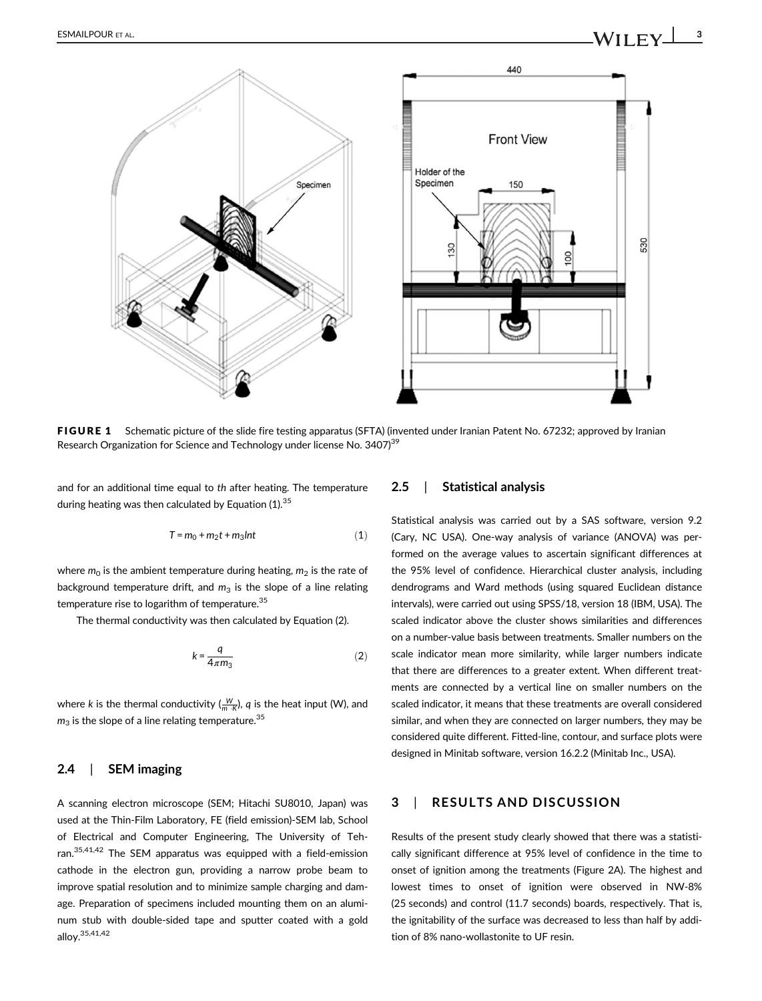

FIGURE 1 Schematic picture of the slide fire testing apparatus (SFTA) (invented under Iranian Patent No. 67232; approved by Iranian Research Organization for Science and Technology under license No. 3407)<sup>39</sup>

and for an additional time equal to th after heating. The temperature during heating was then calculated by Equation  $(1).^{35}$ 

$$
T = m_0 + m_2 t + m_3 Int
$$
 (1)

where  $m_0$  is the ambient temperature during heating,  $m_2$  is the rate of background temperature drift, and  $m_3$  is the slope of a line relating temperature rise to logarithm of temperature.<sup>35</sup>

The thermal conductivity was then calculated by Equation (2).

$$
k = \frac{q}{4\pi m_3} \tag{2}
$$

where k is the thermal conductivity  $(\frac{W}{m \cdot k})$ ,  $q$  is the heat input (W), and  $m<sub>3</sub>$  is the slope of a line relating temperature.<sup>35</sup>

## 2.4 | SEM imaging

A scanning electron microscope (SEM; Hitachi SU8010, Japan) was used at the Thin-Film Laboratory, FE (field emission)-SEM lab, School of Electrical and Computer Engineering, The University of Tehran.35,41,42 The SEM apparatus was equipped with a field-emission cathode in the electron gun, providing a narrow probe beam to improve spatial resolution and to minimize sample charging and damage. Preparation of specimens included mounting them on an aluminum stub with double-sided tape and sputter coated with a gold alloy.35,41,42

#### 2.5 | Statistical analysis

Statistical analysis was carried out by a SAS software, version 9.2 (Cary, NC USA). One-way analysis of variance (ANOVA) was performed on the average values to ascertain significant differences at the 95% level of confidence. Hierarchical cluster analysis, including dendrograms and Ward methods (using squared Euclidean distance intervals), were carried out using SPSS/18, version 18 (IBM, USA). The scaled indicator above the cluster shows similarities and differences on a number-value basis between treatments. Smaller numbers on the scale indicator mean more similarity, while larger numbers indicate that there are differences to a greater extent. When different treatments are connected by a vertical line on smaller numbers on the scaled indicator, it means that these treatments are overall considered similar, and when they are connected on larger numbers, they may be considered quite different. Fitted-line, contour, and surface plots were designed in Minitab software, version 16.2.2 (Minitab Inc., USA).

### 3 | RESULTS AND DISCUSSION

Results of the present study clearly showed that there was a statistically significant difference at 95% level of confidence in the time to onset of ignition among the treatments (Figure 2A). The highest and lowest times to onset of ignition were observed in NW-8% (25 seconds) and control (11.7 seconds) boards, respectively. That is, the ignitability of the surface was decreased to less than half by addition of 8% nano-wollastonite to UF resin.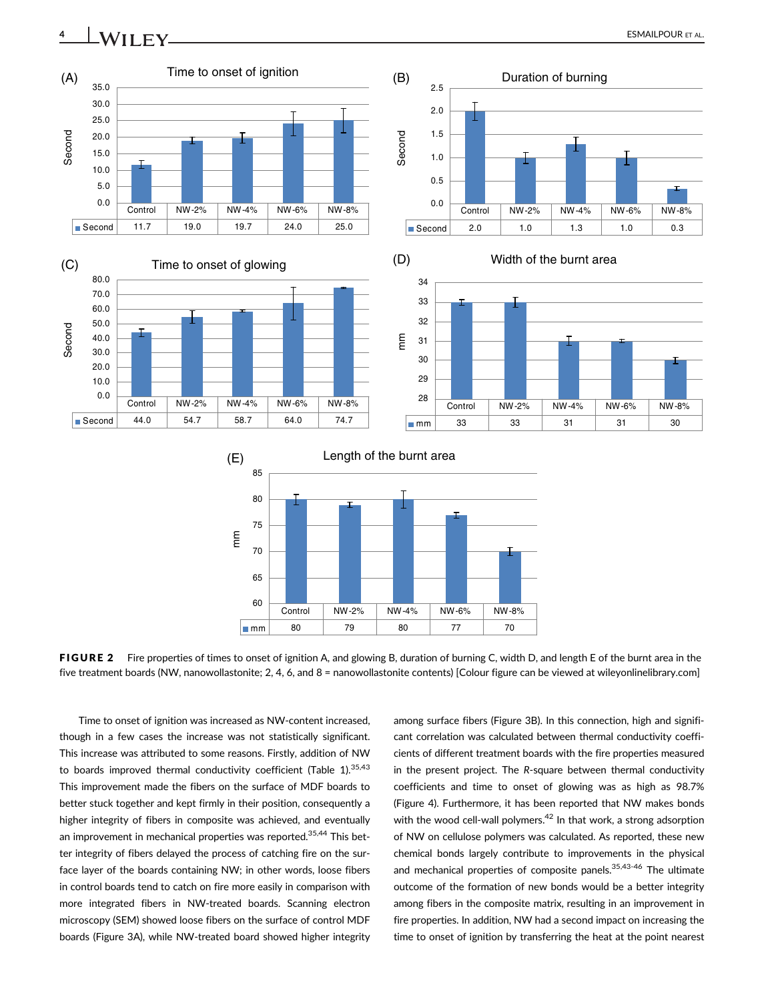

FIGURE 2 Fire properties of times to onset of ignition A, and glowing B, duration of burning C, width D, and length E of the burnt area in the five treatment boards (NW, nanowollastonite; 2, 4, 6, and 8 = nanowollastonite contents) [Colour figure can be viewed at [wileyonlinelibrary.com\]](http://wileyonlinelibrary.com)

79 80 77 70

Control NW-2% NW-4% NW-6% NW-8%

Time to onset of ignition was increased as NW-content increased, though in a few cases the increase was not statistically significant. This increase was attributed to some reasons. Firstly, addition of NW to boards improved thermal conductivity coefficient (Table 1). $35,43$ This improvement made the fibers on the surface of MDF boards to better stuck together and kept firmly in their position, consequently a higher integrity of fibers in composite was achieved, and eventually an improvement in mechanical properties was reported.<sup>35,44</sup> This better integrity of fibers delayed the process of catching fire on the surface layer of the boards containing NW; in other words, loose fibers in control boards tend to catch on fire more easily in comparison with more integrated fibers in NW-treated boards. Scanning electron microscopy (SEM) showed loose fibers on the surface of control MDF boards (Figure 3A), while NW-treated board showed higher integrity

60 65

 $\mathsf{mmm}$  80

70 75

mm

among surface fibers (Figure 3B). In this connection, high and significant correlation was calculated between thermal conductivity coefficients of different treatment boards with the fire properties measured in the present project. The R-square between thermal conductivity coefficients and time to onset of glowing was as high as 98.7% (Figure 4). Furthermore, it has been reported that NW makes bonds with the wood cell-wall polymers.<sup>42</sup> In that work, a strong adsorption of NW on cellulose polymers was calculated. As reported, these new chemical bonds largely contribute to improvements in the physical and mechanical properties of composite panels.<sup>35,43-46</sup> The ultimate outcome of the formation of new bonds would be a better integrity among fibers in the composite matrix, resulting in an improvement in fire properties. In addition, NW had a second impact on increasing the time to onset of ignition by transferring the heat at the point nearest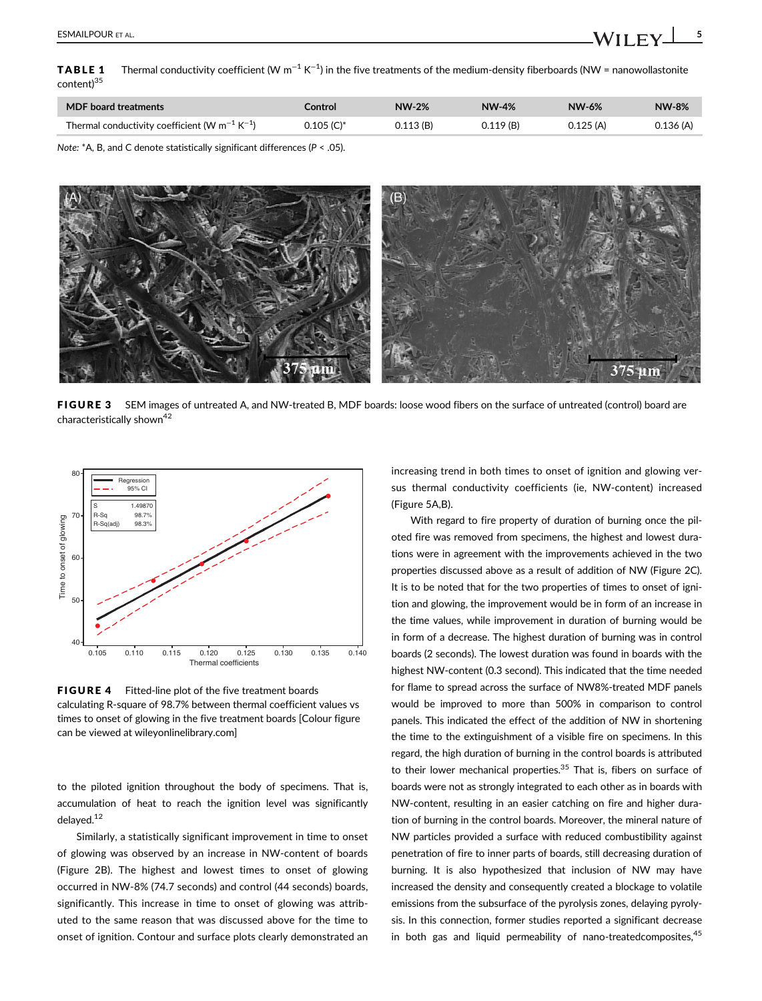<code>TABLE 1  $\,$  Thermal</code> conductivity coefficient (W  $\rm m^{-1}$  K $^{-1}$ ) in the five treatments of the medium-density fiberboards (NW = nanowollastonite content)<sup>35</sup>

| <b>MDF</b> board treatments                                    | Control      | <b>NW-2%</b> | <b>NW-4%</b> | NW-6%    | <b>NW-8%</b> |
|----------------------------------------------------------------|--------------|--------------|--------------|----------|--------------|
| Thermal conductivity coefficient (W $m^{-1}$ K <sup>-1</sup> ) | $0.105$ (C)* | 0.113(B)     | 0.119(B)     | 0.125(A) | 0.136(A)     |

Note: \*A, B, and C denote statistically significant differences (P < .05).



FIGURE 3 SEM images of untreated A, and NW-treated B, MDF boards: loose wood fibers on the surface of untreated (control) board are characteristically shown<sup>42</sup>



FIGURE 4 Fitted-line plot of the five treatment boards calculating R-square of 98.7% between thermal coefficient values vs times to onset of glowing in the five treatment boards [Colour figure can be viewed at [wileyonlinelibrary.com](http://wileyonlinelibrary.com)]

to the piloted ignition throughout the body of specimens. That is, accumulation of heat to reach the ignition level was significantly delayed.<sup>12</sup>

Similarly, a statistically significant improvement in time to onset of glowing was observed by an increase in NW-content of boards (Figure 2B). The highest and lowest times to onset of glowing occurred in NW-8% (74.7 seconds) and control (44 seconds) boards, significantly. This increase in time to onset of glowing was attributed to the same reason that was discussed above for the time to onset of ignition. Contour and surface plots clearly demonstrated an increasing trend in both times to onset of ignition and glowing versus thermal conductivity coefficients (ie, NW-content) increased (Figure 5A,B).

With regard to fire property of duration of burning once the piloted fire was removed from specimens, the highest and lowest durations were in agreement with the improvements achieved in the two properties discussed above as a result of addition of NW (Figure 2C). It is to be noted that for the two properties of times to onset of ignition and glowing, the improvement would be in form of an increase in the time values, while improvement in duration of burning would be in form of a decrease. The highest duration of burning was in control boards (2 seconds). The lowest duration was found in boards with the highest NW-content (0.3 second). This indicated that the time needed for flame to spread across the surface of NW8%-treated MDF panels would be improved to more than 500% in comparison to control panels. This indicated the effect of the addition of NW in shortening the time to the extinguishment of a visible fire on specimens. In this regard, the high duration of burning in the control boards is attributed to their lower mechanical properties.<sup>35</sup> That is, fibers on surface of boards were not as strongly integrated to each other as in boards with NW-content, resulting in an easier catching on fire and higher duration of burning in the control boards. Moreover, the mineral nature of NW particles provided a surface with reduced combustibility against penetration of fire to inner parts of boards, still decreasing duration of burning. It is also hypothesized that inclusion of NW may have increased the density and consequently created a blockage to volatile emissions from the subsurface of the pyrolysis zones, delaying pyrolysis. In this connection, former studies reported a significant decrease in both gas and liquid permeability of nano-treatedcomposites, $45$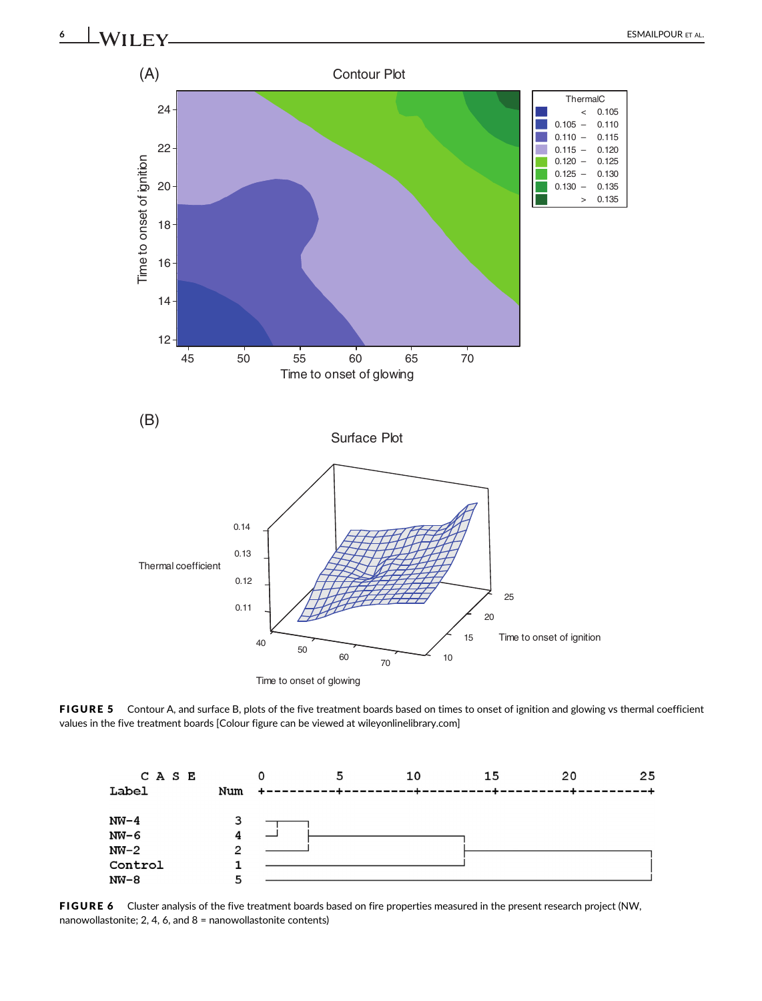



FIGURE 5 Contour A, and surface B, plots of the five treatment boards based on times to onset of ignition and glowing vs thermal coefficient values in the five treatment boards [Colour figure can be viewed at [wileyonlinelibrary.com](http://wileyonlinelibrary.com)]

![](_page_5_Figure_3.jpeg)

FIGURE 6 Cluster analysis of the five treatment boards based on fire properties measured in the present research project (NW, nanowollastonite; 2, 4, 6, and 8 = nanowollastonite contents)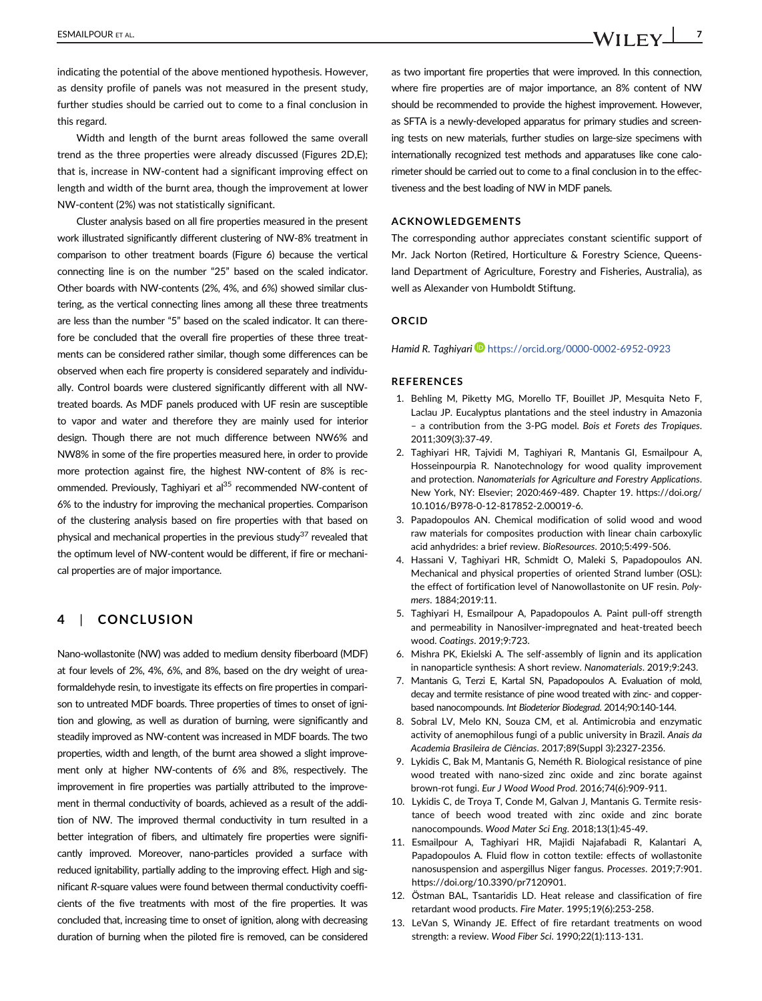indicating the potential of the above mentioned hypothesis. However, as density profile of panels was not measured in the present study, further studies should be carried out to come to a final conclusion in this regard.

Width and length of the burnt areas followed the same overall trend as the three properties were already discussed (Figures 2D,E); that is, increase in NW-content had a significant improving effect on length and width of the burnt area, though the improvement at lower NW-content (2%) was not statistically significant.

Cluster analysis based on all fire properties measured in the present work illustrated significantly different clustering of NW-8% treatment in comparison to other treatment boards (Figure 6) because the vertical connecting line is on the number "25" based on the scaled indicator. Other boards with NW-contents (2%, 4%, and 6%) showed similar clustering, as the vertical connecting lines among all these three treatments are less than the number "5" based on the scaled indicator. It can therefore be concluded that the overall fire properties of these three treatments can be considered rather similar, though some differences can be observed when each fire property is considered separately and individually. Control boards were clustered significantly different with all NWtreated boards. As MDF panels produced with UF resin are susceptible to vapor and water and therefore they are mainly used for interior design. Though there are not much difference between NW6% and NW8% in some of the fire properties measured here, in order to provide more protection against fire, the highest NW-content of 8% is recommended. Previously, Taghiyari et al<sup>35</sup> recommended NW-content of 6% to the industry for improving the mechanical properties. Comparison of the clustering analysis based on fire properties with that based on physical and mechanical properties in the previous study $37$  revealed that the optimum level of NW-content would be different, if fire or mechanical properties are of major importance.

# 4 | CONCLUSION

Nano-wollastonite (NW) was added to medium density fiberboard (MDF) at four levels of 2%, 4%, 6%, and 8%, based on the dry weight of ureaformaldehyde resin, to investigate its effects on fire properties in comparison to untreated MDF boards. Three properties of times to onset of ignition and glowing, as well as duration of burning, were significantly and steadily improved as NW-content was increased in MDF boards. The two properties, width and length, of the burnt area showed a slight improvement only at higher NW-contents of 6% and 8%, respectively. The improvement in fire properties was partially attributed to the improvement in thermal conductivity of boards, achieved as a result of the addition of NW. The improved thermal conductivity in turn resulted in a better integration of fibers, and ultimately fire properties were significantly improved. Moreover, nano-particles provided a surface with reduced ignitability, partially adding to the improving effect. High and significant R-square values were found between thermal conductivity coefficients of the five treatments with most of the fire properties. It was concluded that, increasing time to onset of ignition, along with decreasing duration of burning when the piloted fire is removed, can be considered

as two important fire properties that were improved. In this connection, where fire properties are of major importance, an 8% content of NW should be recommended to provide the highest improvement. However, as SFTA is a newly-developed apparatus for primary studies and screening tests on new materials, further studies on large-size specimens with internationally recognized test methods and apparatuses like cone calorimeter should be carried out to come to a final conclusion in to the effectiveness and the best loading of NW in MDF panels.

#### ACKNOWLEDGEMENTS

The corresponding author appreciates constant scientific support of Mr. Jack Norton (Retired, Horticulture & Forestry Science, Queensland Department of Agriculture, Forestry and Fisheries, Australia), as well as Alexander von Humboldt Stiftung.

#### ORCID

Hamid R. Taghiyari <https://orcid.org/0000-0002-6952-0923>

#### REFERENCES

- 1. Behling M, Piketty MG, Morello TF, Bouillet JP, Mesquita Neto F, Laclau JP. Eucalyptus plantations and the steel industry in Amazonia – a contribution from the 3-PG model. Bois et Forets des Tropiques. 2011;309(3):37-49.
- 2. Taghiyari HR, Tajvidi M, Taghiyari R, Mantanis GI, Esmailpour A, Hosseinpourpia R. Nanotechnology for wood quality improvement and protection. Nanomaterials for Agriculture and Forestry Applications. New York, NY: Elsevier; 2020:469-489. Chapter 19. [https://doi.org/](https://doi.org/10.1016/B978-0-12-817852-2.00019-6) [10.1016/B978-0-12-817852-2.00019-6](https://doi.org/10.1016/B978-0-12-817852-2.00019-6).
- 3. Papadopoulos AN. Chemical modification of solid wood and wood raw materials for composites production with linear chain carboxylic acid anhydrides: a brief review. BioResources. 2010;5:499-506.
- 4. Hassani V, Taghiyari HR, Schmidt O, Maleki S, Papadopoulos AN. Mechanical and physical properties of oriented Strand lumber (OSL): the effect of fortification level of Nanowollastonite on UF resin. Polymers. 1884;2019:11.
- 5. Taghiyari H, Esmailpour A, Papadopoulos A. Paint pull-off strength and permeability in Nanosilver-impregnated and heat-treated beech wood. Coatings. 2019;9:723.
- 6. Mishra PK, Ekielski A. The self-assembly of lignin and its application in nanoparticle synthesis: A short review. Nanomaterials. 2019;9:243.
- 7. Mantanis G, Terzi E, Kartal SN, Papadopoulos A. Evaluation of mold, decay and termite resistance of pine wood treated with zinc- and copperbased nanocompounds. Int Biodeterior Biodegrad. 2014;90:140-144.
- 8. Sobral LV, Melo KN, Souza CM, et al. Antimicrobia and enzymatic activity of anemophilous fungi of a public university in Brazil. Anais da Academia Brasileira de Ciências. 2017;89(Suppl 3):2327-2356.
- 9. Lykidis C, Bak M, Mantanis G, Neméth R. Biological resistance of pine wood treated with nano-sized zinc oxide and zinc borate against brown-rot fungi. Eur J Wood Wood Prod. 2016;74(6):909-911.
- 10. Lykidis C, de Troya T, Conde M, Galvan J, Mantanis G. Termite resistance of beech wood treated with zinc oxide and zinc borate nanocompounds. Wood Mater Sci Eng. 2018;13(1):45-49.
- 11. Esmailpour A, Taghiyari HR, Majidi Najafabadi R, Kalantari A, Papadopoulos A. Fluid flow in cotton textile: effects of wollastonite nanosuspension and aspergillus Niger fangus. Processes. 2019;7:901. [https://doi.org/10.3390/pr7120901.](https://doi.org/10.3390/pr7120901)
- 12. Östman BAL, Tsantaridis LD. Heat release and classification of fire retardant wood products. Fire Mater. 1995;19(6):253-258.
- 13. LeVan S, Winandy JE. Effect of fire retardant treatments on wood strength: a review. Wood Fiber Sci. 1990;22(1):113-131.